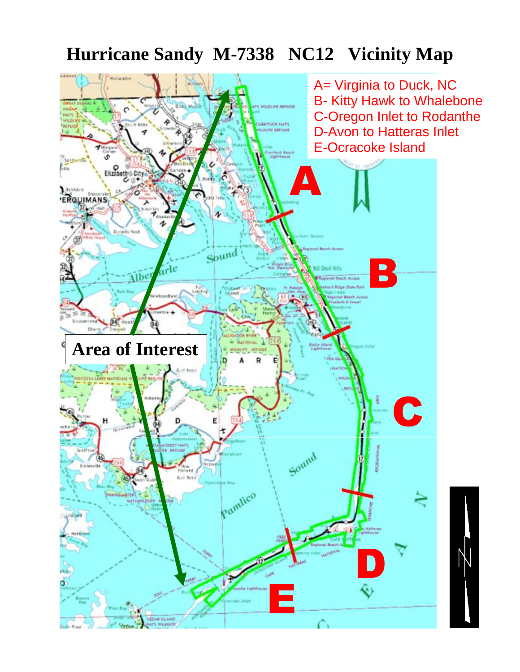# **Hurricane Sandy M-7338 NC12 Vicinity Map**

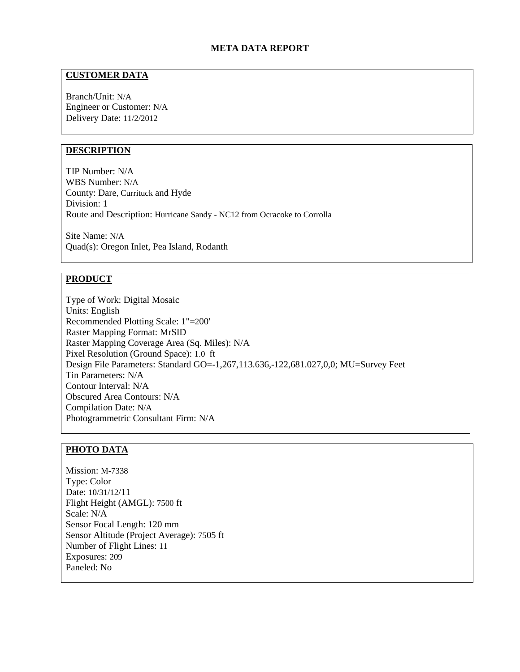# **META DATA REPORT**

# **CUSTOMER DATA**

Branch/Unit: N/A Engineer or Customer: N/A Delivery Date: 11/2/2012

## **DESCRIPTION**

TIP Number: N/A WBS Number: N/A County: Dare, Currituck and Hyde Division: 1 Route and Description: Hurricane Sandy - NC12 from Ocracoke to Corrolla

Site Name: N/A Quad(s): Oregon Inlet, Pea Island, Rodanth

#### **PRODUCT**

Type of Work: Digital Mosaic Units: English Recommended Plotting Scale: 1"=200' Raster Mapping Format: MrSID Raster Mapping Coverage Area (Sq. Miles): N/A Pixel Resolution (Ground Space): 1.0 ft Design File Parameters: Standard GO=-1,267,113.636,-122,681.027,0,0; MU=Survey Feet Tin Parameters: N/A Contour Interval: N/A Obscured Area Contours: N/A Compilation Date: N/A Photogrammetric Consultant Firm: N/A

# **PHOTO DATA**

Mission: M-7338 Type: Color Date: 10/31/12/11 Flight Height (AMGL): 7500 ft Scale: N/A Sensor Focal Length: 120 mm Sensor Altitude (Project Average): 7505 ft Number of Flight Lines: 11 Exposures: 209 Paneled: No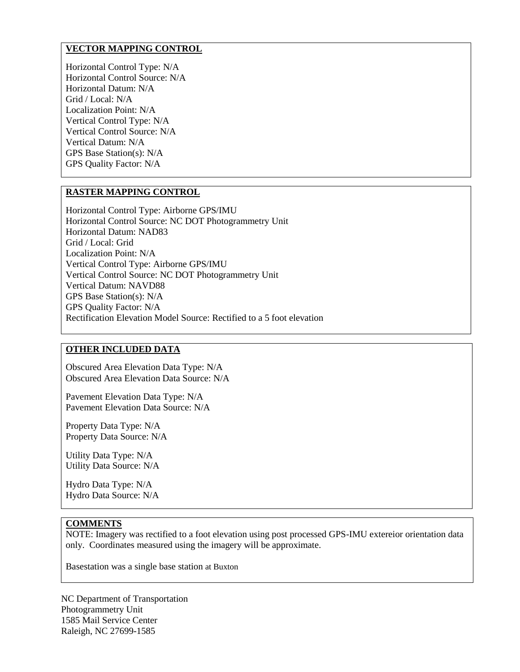# **VECTOR MAPPING CONTROL**

Horizontal Control Type: N/A Horizontal Control Source: N/A Horizontal Datum: N/A Grid / Local: N/A Localization Point: N/A Vertical Control Type: N/A Vertical Control Source: N/A Vertical Datum: N/A GPS Base Station(s): N/A GPS Quality Factor: N/A

### **RASTER MAPPING CONTROL**

Horizontal Control Type: Airborne GPS/IMU Horizontal Control Source: NC DOT Photogrammetry Unit Horizontal Datum: NAD83 Grid / Local: Grid Localization Point: N/A Vertical Control Type: Airborne GPS/IMU Vertical Control Source: NC DOT Photogrammetry Unit Vertical Datum: NAVD88 GPS Base Station(s): N/A GPS Quality Factor: N/A Rectification Elevation Model Source: Rectified to a 5 foot elevation

# **OTHER INCLUDED DATA**

Obscured Area Elevation Data Type: N/A Obscured Area Elevation Data Source: N/A

Pavement Elevation Data Type: N/A Pavement Elevation Data Source: N/A

Property Data Type: N/A Property Data Source: N/A

Utility Data Type: N/A Utility Data Source: N/A

Hydro Data Type: N/A Hydro Data Source: N/A

### **COMMENTS**

NOTE: Imagery was rectified to a foot elevation using post processed GPS-IMU extereior orientation data only. Coordinates measured using the imagery will be approximate.

Basestation was a single base station at Buxton

NC Department of Transportation Photogrammetry Unit 1585 Mail Service Center Raleigh, NC 27699-1585